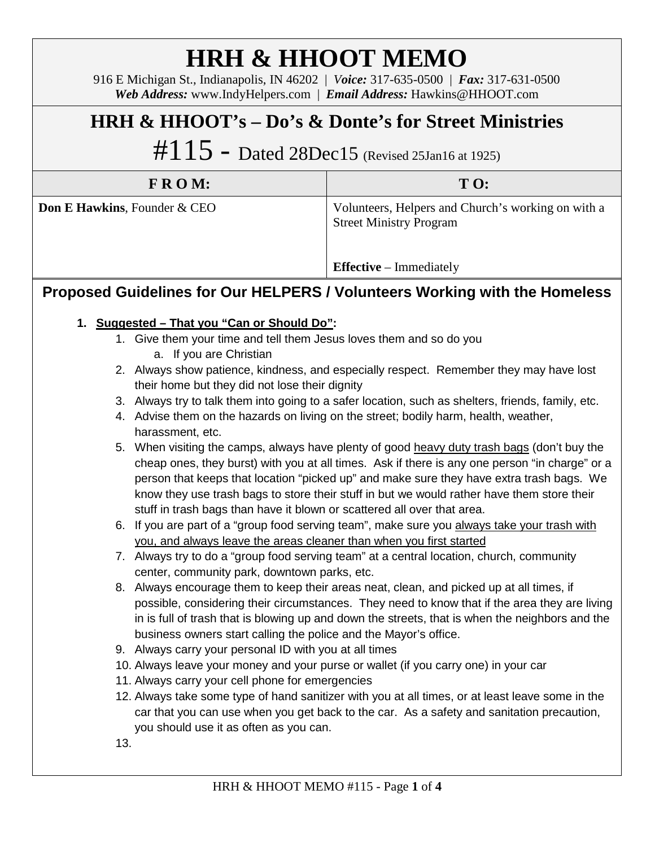# **HRH & HHOOT MEMO**

916 E Michigan St., Indianapolis, IN 46202 | *Voice:* 317-635-0500 | *Fax:* 317-631-0500 *Web Address:* www.IndyHelpers.com | *Email Address:* Hawkins@HHOOT.com

## **HRH & HHOOT's – Do's & Donte's for Street Ministries**

 $#115$  - Dated 28Dec15 (Revised 25Jan16 at 1925)

| $F R O M$ :                             | $T \Omega$ :                                                                         |
|-----------------------------------------|--------------------------------------------------------------------------------------|
| <b>Don E Hawkins, Founder &amp; CEO</b> | Volunteers, Helpers and Church's working on with a<br><b>Street Ministry Program</b> |
|                                         | <b>Effective</b> – Immediately                                                       |

### **Proposed Guidelines for Our HELPERS / Volunteers Working with the Homeless**

#### **1. Suggested – That you "Can or Should Do":**

- 1. Give them your time and tell them Jesus loves them and so do you
	- a. If you are Christian
- 2. Always show patience, kindness, and especially respect. Remember they may have lost their home but they did not lose their dignity
- 3. Always try to talk them into going to a safer location, such as shelters, friends, family, etc.
- 4. Advise them on the hazards on living on the street; bodily harm, health, weather, harassment, etc.
- 5. When visiting the camps, always have plenty of good heavy duty trash bags (don't buy the cheap ones, they burst) with you at all times. Ask if there is any one person "in charge" or a person that keeps that location "picked up" and make sure they have extra trash bags. We know they use trash bags to store their stuff in but we would rather have them store their stuff in trash bags than have it blown or scattered all over that area.
- 6. If you are part of a "group food serving team", make sure you always take your trash with you, and always leave the areas cleaner than when you first started
- 7. Always try to do a "group food serving team" at a central location, church, community center, community park, downtown parks, etc.
- 8. Always encourage them to keep their areas neat, clean, and picked up at all times, if possible, considering their circumstances. They need to know that if the area they are living in is full of trash that is blowing up and down the streets, that is when the neighbors and the business owners start calling the police and the Mayor's office.
- 9. Always carry your personal ID with you at all times
- 10. Always leave your money and your purse or wallet (if you carry one) in your car
- 11. Always carry your cell phone for emergencies
- 12. Always take some type of hand sanitizer with you at all times, or at least leave some in the car that you can use when you get back to the car. As a safety and sanitation precaution, you should use it as often as you can.
- 13.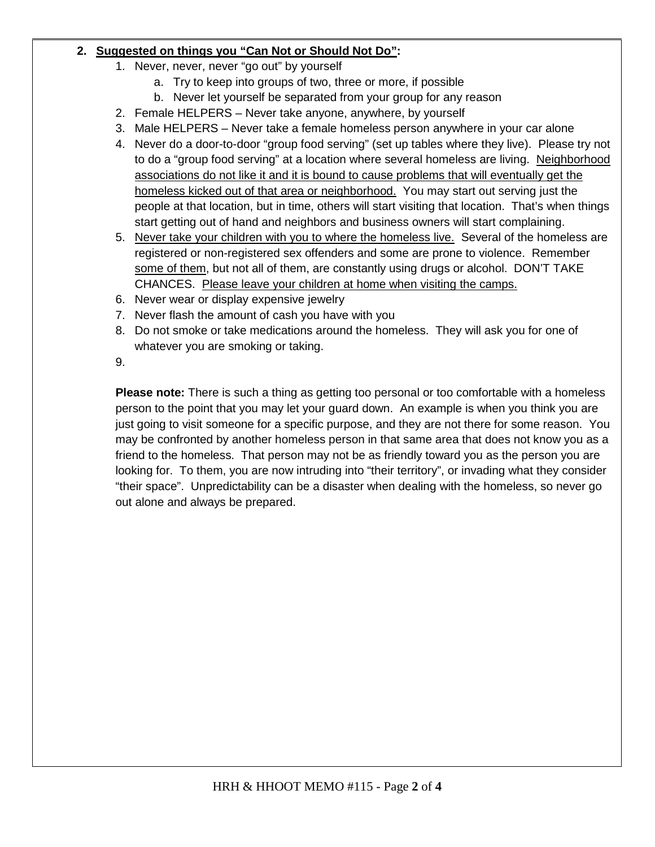#### **2. Suggested on things you "Can Not or Should Not Do":**

- 1. Never, never, never "go out" by yourself
	- a. Try to keep into groups of two, three or more, if possible
	- b. Never let yourself be separated from your group for any reason
- 2. Female HELPERS Never take anyone, anywhere, by yourself
- 3. Male HELPERS Never take a female homeless person anywhere in your car alone
- 4. Never do a door-to-door "group food serving" (set up tables where they live). Please try not to do a "group food serving" at a location where several homeless are living. Neighborhood associations do not like it and it is bound to cause problems that will eventually get the homeless kicked out of that area or neighborhood. You may start out serving just the people at that location, but in time, others will start visiting that location. That's when things start getting out of hand and neighbors and business owners will start complaining.
- 5. Never take your children with you to where the homeless live. Several of the homeless are registered or non-registered sex offenders and some are prone to violence. Remember some of them, but not all of them, are constantly using drugs or alcohol. DON'T TAKE CHANCES. Please leave your children at home when visiting the camps.
- 6. Never wear or display expensive jewelry
- 7. Never flash the amount of cash you have with you
- 8. Do not smoke or take medications around the homeless. They will ask you for one of whatever you are smoking or taking.
- 9.

**Please note:** There is such a thing as getting too personal or too comfortable with a homeless person to the point that you may let your guard down. An example is when you think you are just going to visit someone for a specific purpose, and they are not there for some reason. You may be confronted by another homeless person in that same area that does not know you as a friend to the homeless. That person may not be as friendly toward you as the person you are looking for. To them, you are now intruding into "their territory", or invading what they consider "their space". Unpredictability can be a disaster when dealing with the homeless, so never go out alone and always be prepared.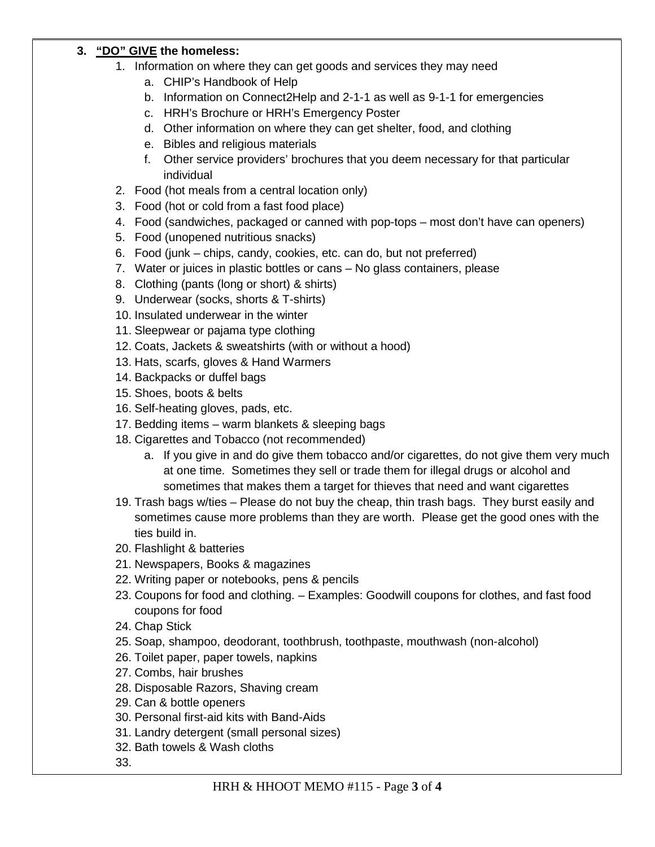#### **3. "DO" GIVE the homeless:**

- 1. Information on where they can get goods and services they may need
	- a. CHIP's Handbook of Help
	- b. Information on Connect2Help and 2-1-1 as well as 9-1-1 for emergencies
	- c. HRH's Brochure or HRH's Emergency Poster
	- d. Other information on where they can get shelter, food, and clothing
	- e. Bibles and religious materials
	- f. Other service providers' brochures that you deem necessary for that particular individual
- 2. Food (hot meals from a central location only)
- 3. Food (hot or cold from a fast food place)
- 4. Food (sandwiches, packaged or canned with pop-tops most don't have can openers)
- 5. Food (unopened nutritious snacks)
- 6. Food (junk chips, candy, cookies, etc. can do, but not preferred)
- 7. Water or juices in plastic bottles or cans No glass containers, please
- 8. Clothing (pants (long or short) & shirts)
- 9. Underwear (socks, shorts & T-shirts)
- 10. Insulated underwear in the winter
- 11. Sleepwear or pajama type clothing
- 12. Coats, Jackets & sweatshirts (with or without a hood)
- 13. Hats, scarfs, gloves & Hand Warmers
- 14. Backpacks or duffel bags
- 15. Shoes, boots & belts
- 16. Self-heating gloves, pads, etc.
- 17. Bedding items warm blankets & sleeping bags
- 18. Cigarettes and Tobacco (not recommended)
	- a. If you give in and do give them tobacco and/or cigarettes, do not give them very much at one time. Sometimes they sell or trade them for illegal drugs or alcohol and sometimes that makes them a target for thieves that need and want cigarettes
- 19. Trash bags w/ties Please do not buy the cheap, thin trash bags. They burst easily and sometimes cause more problems than they are worth. Please get the good ones with the ties build in.
- 20. Flashlight & batteries
- 21. Newspapers, Books & magazines
- 22. Writing paper or notebooks, pens & pencils
- 23. Coupons for food and clothing. Examples: Goodwill coupons for clothes, and fast food coupons for food
- 24. Chap Stick
- 25. Soap, shampoo, deodorant, toothbrush, toothpaste, mouthwash (non-alcohol)
- 26. Toilet paper, paper towels, napkins
- 27. Combs, hair brushes
- 28. Disposable Razors, Shaving cream
- 29. Can & bottle openers
- 30. Personal first-aid kits with Band-Aids
- 31. Landry detergent (small personal sizes)
- 32. Bath towels & Wash cloths
- 33.